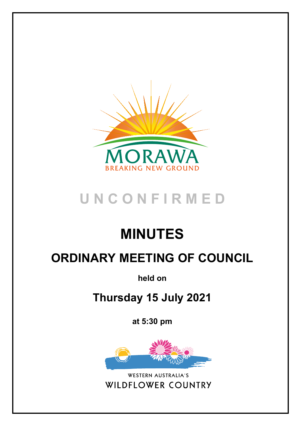

# **U N C O N F I R M E D**

# **MINUTES**

# **ORDINARY MEETING OF COUNCIL**

**held on**

## **Thursday 15 July 2021**

**at 5:30 pm**



WESTERN AUSTRALIA'S **WILDFLOWER COUNTRY**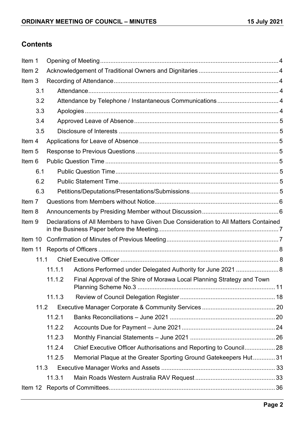## **Contents**

| Item 1            |        |                                                                                      |  |
|-------------------|--------|--------------------------------------------------------------------------------------|--|
| Item <sub>2</sub> |        |                                                                                      |  |
| Item <sub>3</sub> |        |                                                                                      |  |
| 3.1               |        |                                                                                      |  |
| 3.2               |        | Attendance by Telephone / Instantaneous Communications 4                             |  |
| 3.3               |        |                                                                                      |  |
| 3.4               |        |                                                                                      |  |
| 3.5               |        |                                                                                      |  |
| Item 4            |        |                                                                                      |  |
| Item <sub>5</sub> |        |                                                                                      |  |
| Item <sub>6</sub> |        |                                                                                      |  |
| 6.1               |        |                                                                                      |  |
| 6.2               |        |                                                                                      |  |
| 6.3               |        |                                                                                      |  |
| Item 7            |        |                                                                                      |  |
| Item 8            |        |                                                                                      |  |
| Item <sub>9</sub> |        | Declarations of All Members to have Given Due Consideration to All Matters Contained |  |
|                   |        |                                                                                      |  |
| Item 11           |        |                                                                                      |  |
| 11.1              |        |                                                                                      |  |
|                   | 11.1.1 | Actions Performed under Delegated Authority for June 2021  8                         |  |
|                   | 11.1.2 | Final Approval of the Shire of Morawa Local Planning Strategy and Town               |  |
|                   | 11.1.3 |                                                                                      |  |
| 11.2              |        |                                                                                      |  |
|                   | 11.2.1 |                                                                                      |  |
|                   | 11.2.2 |                                                                                      |  |
|                   | 11.2.3 |                                                                                      |  |
|                   | 11.2.4 | Chief Executive Officer Authorisations and Reporting to Council 28                   |  |
|                   | 11.2.5 | Memorial Plaque at the Greater Sporting Ground Gatekeepers Hut31                     |  |
| 11.3              |        |                                                                                      |  |
|                   | 11.3.1 |                                                                                      |  |
| Item $12$         |        |                                                                                      |  |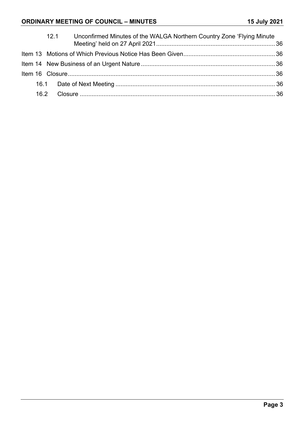## **ORDINARY MEETING OF COUNCIL – MINUTES 15 July 2021**

|  | Unconfirmed Minutes of the WALGA Northern Country Zone 'Flying Minute<br>12.1 |  |
|--|-------------------------------------------------------------------------------|--|
|  |                                                                               |  |
|  |                                                                               |  |
|  |                                                                               |  |
|  |                                                                               |  |
|  |                                                                               |  |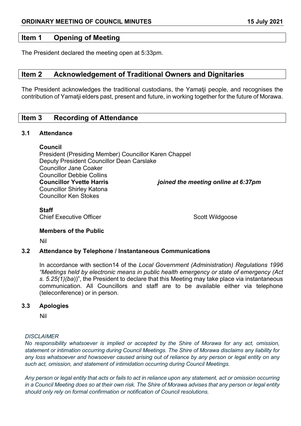## <span id="page-3-0"></span>**Item 1 Opening of Meeting**

The President declared the meeting open at 5:33pm.

## <span id="page-3-1"></span>**Item 2 Acknowledgement of Traditional Owners and Dignitaries**

The President acknowledges the traditional custodians, the Yamatji people, and recognises the contribution of Yamatji elders past, present and future, in working together for the future of Morawa.

## <span id="page-3-2"></span>**Item 3 Recording of Attendance**

#### <span id="page-3-3"></span>**3.1 Attendance**

**Council**

President (Presiding Member) Councillor Karen Chappel Deputy President Councillor Dean Carslake Councillor Jane Coaker Councillor Debbie Collins **Councillor Yvette Harris** *joined the meeting online at 6:37pm* Councillor Shirley Katona Councillor Ken Stokes

**Staff**

Chief Executive Officer Scott Wildgoose Scott Wildgoose

#### **Members of the Public**

Nil

#### <span id="page-3-4"></span>**3.2 Attendance by Telephone / Instantaneous Communications**

In accordance with section14 of the *Local Government (Administration) Regulations 1996 "Meetings held by electronic means in public health emergency or state of emergency (Act s. 5.25(1)(ba*))", the President to declare that this Meeting may take place via instantaneous communication. All Councillors and staff are to be available either via telephone (teleconference) or in person.

#### <span id="page-3-5"></span>**3.3 Apologies**

Nil

#### *DISCLAIMER*

*No responsibility whatsoever is implied or accepted by the Shire of Morawa for any act, omission, statement or intimation occurring during Council Meetings. The Shire of Morawa disclaims any liability for any loss whatsoever and howsoever caused arising out of reliance by any person or legal entity on any such act, omission, and statement of intimidation occurring during Council Meetings.*

*Any person or legal entity that acts or fails to act in reliance upon any statement, act or omission occurring in a Council Meeting does so at their own risk. The Shire of Morawa advises that any person or legal entity should only rely on formal confirmation or notification of Council resolutions.*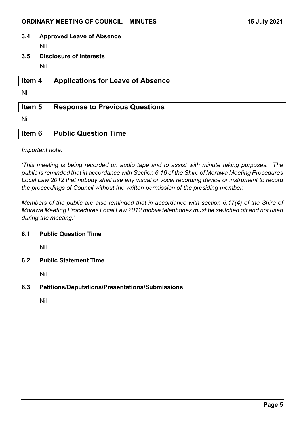#### <span id="page-4-0"></span>**3.4 Approved Leave of Absence**

Nil

<span id="page-4-1"></span>**3.5 Disclosure of Interests**

Nil

## <span id="page-4-2"></span>**Item 4 Applications for Leave of Absence**

Nil

## <span id="page-4-3"></span>**Item 5 Response to Previous Questions**

Nil

## <span id="page-4-4"></span>**Item 6 Public Question Time**

*Important note:*

*'This meeting is being recorded on audio tape and to assist with minute taking purposes. The public is reminded that in accordance with Section 6.16 of the Shire of Morawa Meeting Procedures Local Law 2012 that nobody shall use any visual or vocal recording device or instrument to record the proceedings of Council without the written permission of the presiding member.*

*Members of the public are also reminded that in accordance with section 6.17(4) of the Shire of Morawa Meeting Procedures Local Law 2012 mobile telephones must be switched off and not used during the meeting.'*

#### <span id="page-4-5"></span>**6.1 Public Question Time**

Nil

<span id="page-4-6"></span>**6.2 Public Statement Time**

Nil

<span id="page-4-7"></span>**6.3 Petitions/Deputations/Presentations/Submissions**

Nil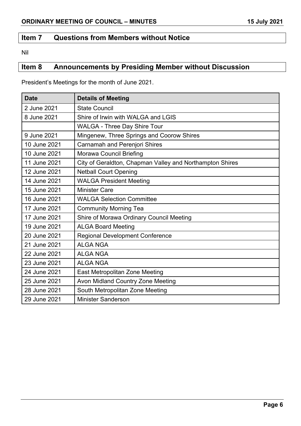## <span id="page-5-0"></span>**Item 7 Questions from Members without Notice**

Nil

## <span id="page-5-1"></span>**Item 8 Announcements by Presiding Member without Discussion**

President's Meetings for the month of June 2021.

| <b>Date</b>  | <b>Details of Meeting</b>                                |  |
|--------------|----------------------------------------------------------|--|
| 2 June 2021  | <b>State Council</b>                                     |  |
| 8 June 2021  | Shire of Irwin with WALGA and LGIS                       |  |
|              | <b>WALGA - Three Day Shire Tour</b>                      |  |
| 9 June 2021  | Mingenew, Three Springs and Coorow Shires                |  |
| 10 June 2021 | <b>Carnamah and Perenjori Shires</b>                     |  |
| 10 June 2021 | <b>Morawa Council Briefing</b>                           |  |
| 11 June 2021 | City of Geraldton, Chapman Valley and Northampton Shires |  |
| 12 June 2021 | <b>Netball Court Opening</b>                             |  |
| 14 June 2021 | <b>WALGA President Meeting</b>                           |  |
| 15 June 2021 | <b>Minister Care</b>                                     |  |
| 16 June 2021 | <b>WALGA Selection Committee</b>                         |  |
| 17 June 2021 | <b>Community Morning Tea</b>                             |  |
| 17 June 2021 | Shire of Morawa Ordinary Council Meeting                 |  |
| 19 June 2021 | <b>ALGA Board Meeting</b>                                |  |
| 20 June 2021 | <b>Regional Development Conference</b>                   |  |
| 21 June 2021 | <b>ALGA NGA</b>                                          |  |
| 22 June 2021 | <b>ALGA NGA</b>                                          |  |
| 23 June 2021 | <b>ALGA NGA</b>                                          |  |
| 24 June 2021 | East Metropolitan Zone Meeting                           |  |
| 25 June 2021 | Avon Midland Country Zone Meeting                        |  |
| 28 June 2021 | South Metropolitan Zone Meeting                          |  |
| 29 June 2021 | <b>Minister Sanderson</b>                                |  |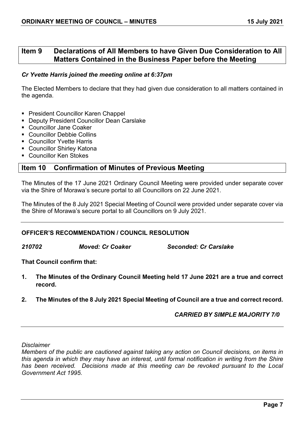## <span id="page-6-0"></span>**Item 9 Declarations of All Members to have Given Due Consideration to All Matters Contained in the Business Paper before the Meeting**

#### *Cr Yvette Harris joined the meeting online at 6:37pm*

The Elected Members to declare that they had given due consideration to all matters contained in the agenda.

- President Councillor Karen Chappel
- **Deputy President Councillor Dean Carslake**
- Councillor Jane Coaker
- Councillor Debbie Collins
- **Councillor Yvette Harris**
- **Councillor Shirley Katona**
- **Councillor Ken Stokes**

## <span id="page-6-1"></span>**Item 10 Confirmation of Minutes of Previous Meeting**

The Minutes of the 17 June 2021 Ordinary Council Meeting were provided under separate cover via the Shire of Morawa's secure portal to all Councillors on 22 June 2021.

The Minutes of the 8 July 2021 Special Meeting of Council were provided under separate cover via the Shire of Morawa's secure portal to all Councillors on 9 July 2021.

## **OFFICER'S RECOMMENDATION / COUNCIL RESOLUTION**

*210702 Moved: Cr Coaker Seconded: Cr Carslake*

**That Council confirm that:**

- **1. The Minutes of the Ordinary Council Meeting held 17 June 2021 are a true and correct record.**
- **2. The Minutes of the 8 July 2021 Special Meeting of Council are a true and correct record.**

*CARRIED BY SIMPLE MAJORITY 7/0*

*Disclaimer*

*Members of the public are cautioned against taking any action on Council decisions, on items in this agenda in which they may have an interest, until formal notification in writing from the Shire has been received. Decisions made at this meeting can be revoked pursuant to the Local Government Act 1995.*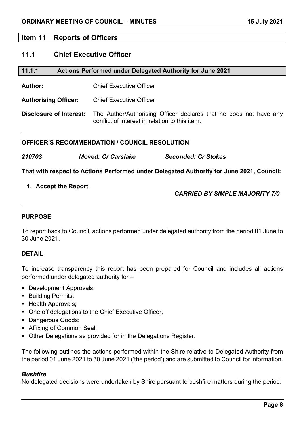## <span id="page-7-0"></span>**Item 11 Reports of Officers**

## <span id="page-7-1"></span>**11.1 Chief Executive Officer**

<span id="page-7-2"></span>

| 11.1.1<br>Actions Performed under Delegated Authority for June 2021 |  |
|---------------------------------------------------------------------|--|
|---------------------------------------------------------------------|--|

**Author:** Chief Executive Officer

**Authorising Officer:** Chief Executive Officer

**Disclosure of Interest:** The Author/Authorising Officer declares that he does not have any conflict of interest in relation to this item.

### **OFFICER'S RECOMMENDATION / COUNCIL RESOLUTION**

|  | 210703 | <b>Moved: Cr Carslake</b> | <b>Seconded: Cr Stokes</b> |
|--|--------|---------------------------|----------------------------|
|--|--------|---------------------------|----------------------------|

**That with respect to Actions Performed under Delegated Authority for June 2021, Council:**

### **1. Accept the Report.**

### *CARRIED BY SIMPLE MAJORITY 7/0*

## **PURPOSE**

To report back to Council, actions performed under delegated authority from the period 01 June to 30 June 2021.

#### **DETAIL**

To increase transparency this report has been prepared for Council and includes all actions performed under delegated authority for –

- Development Approvals;
- **Building Permits;**
- **Health Approvals;**
- One off delegations to the Chief Executive Officer;
- **Dangerous Goods;**
- Affixing of Common Seal;
- Other Delegations as provided for in the Delegations Register.

The following outlines the actions performed within the Shire relative to Delegated Authority from the period 01 June 2021 to 30 June 2021 ('the period') and are submitted to Council for information.

#### *Bushfire*

No delegated decisions were undertaken by Shire pursuant to bushfire matters during the period.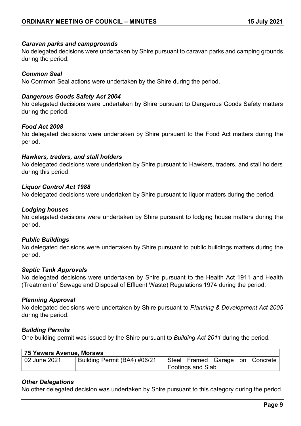### *Caravan parks and campgrounds*

No delegated decisions were undertaken by Shire pursuant to caravan parks and camping grounds during the period.

## *Common Seal*

No Common Seal actions were undertaken by the Shire during the period.

### *Dangerous Goods Safety Act 2004*

No delegated decisions were undertaken by Shire pursuant to Dangerous Goods Safety matters during the period.

#### *Food Act 2008*

No delegated decisions were undertaken by Shire pursuant to the Food Act matters during the period.

### *Hawkers, traders, and stall holders*

No delegated decisions were undertaken by Shire pursuant to Hawkers, traders, and stall holders during this period.

### *Liquor Control Act 1988*

No delegated decisions were undertaken by Shire pursuant to liquor matters during the period.

## *Lodging houses*

No delegated decisions were undertaken by Shire pursuant to lodging house matters during the period.

#### *Public Buildings*

No delegated decisions were undertaken by Shire pursuant to public buildings matters during the period.

#### *Septic Tank Approvals*

No delegated decisions were undertaken by Shire pursuant to the Health Act 1911 and Health (Treatment of Sewage and Disposal of Effluent Waste) Regulations 1974 during the period.

#### *Planning Approval*

No delegated decisions were undertaken by Shire pursuant to *Planning & Development Act 2005*  during the period.

#### *Building Permits*

One building permit was issued by the Shire pursuant to *Building Act 2011* during the period.

| 75 Yewers Avenue, Morawa |                              |  |                                                    |  |  |          |
|--------------------------|------------------------------|--|----------------------------------------------------|--|--|----------|
| 02 June 2021             | Building Permit (BA4) #06/21 |  | Steel Framed Garage on<br><b>Footings and Slab</b> |  |  | Concrete |

## *Other Delegations*

No other delegated decision was undertaken by Shire pursuant to this category during the period.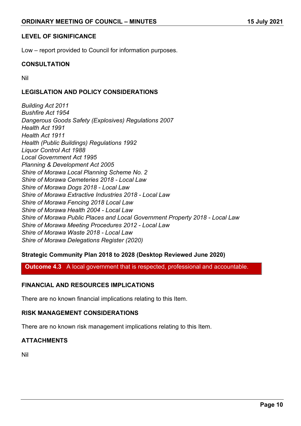### **LEVEL OF SIGNIFICANCE**

Low – report provided to Council for information purposes.

## **CONSULTATION**

Nil

## **LEGISLATION AND POLICY CONSIDERATIONS**

*Building Act 2011 Bushfire Act 1954 Dangerous Goods Safety (Explosives) Regulations 2007 Health Act 1991 Health Act 1911 Health (Public Buildings) Regulations 1992 Liquor Control Act 1988 Local Government Act 1995 Planning & Development Act 2005 Shire of Morawa Local Planning Scheme No. 2 Shire of Morawa Cemeteries 2018 - Local Law Shire of Morawa Dogs 2018 - Local Law Shire of Morawa Extractive Industries 2018 - Local Law Shire of Morawa Fencing 2018 Local Law Shire of Morawa Health 2004 - Local Law Shire of Morawa Public Places and Local Government Property 2018 - Local Law Shire of Morawa Meeting Procedures 2012 - Local Law Shire of Morawa Waste 2018 - Local Law Shire of Morawa Delegations Register (2020)*

#### **Strategic Community Plan 2018 to 2028 (Desktop Reviewed June 2020)**

**Outcome 4.3** A local government that is respected, professional and accountable.

## **FINANCIAL AND RESOURCES IMPLICATIONS**

There are no known financial implications relating to this Item.

## **RISK MANAGEMENT CONSIDERATIONS**

There are no known risk management implications relating to this Item.

## **ATTACHMENTS**

Nil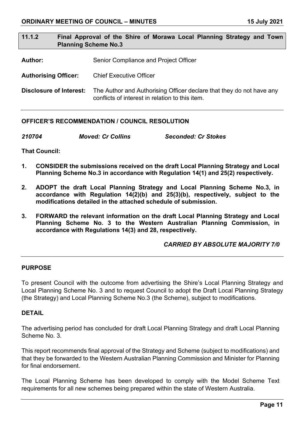## <span id="page-10-0"></span>**11.1.2 Final Approval of the Shire of Morawa Local Planning Strategy and Town Planning Scheme No.3**

Author: Senior Compliance and Project Officer

**Authorising Officer:** Chief Executive Officer

**Disclosure of Interest:** The Author and Authorising Officer declare that they do not have any conflicts of interest in relation to this item.

#### **OFFICER'S RECOMMENDATION / COUNCIL RESOLUTION**

| <b>Moved: Cr Collins</b><br>210704 | <b>Seconded: Cr Stokes</b> |
|------------------------------------|----------------------------|
|------------------------------------|----------------------------|

**That Council:** 

- **1. CONSIDER the submissions received on the draft Local Planning Strategy and Local Planning Scheme No.3 in accordance with Regulation 14(1) and 25(2) respectively.**
- **2. ADOPT the draft Local Planning Strategy and Local Planning Scheme No.3, in accordance with Regulation 14(2)(b) and 25(3)(b), respectively, subject to the modifications detailed in the attached schedule of submission.**
- **3. FORWARD the relevant information on the draft Local Planning Strategy and Local Planning Scheme No. 3 to the Western Australian Planning Commission, in accordance with Regulations 14(3) and 28, respectively.**

#### *CARRIED BY ABSOLUTE MAJORITY 7/0*

#### **PURPOSE**

To present Council with the outcome from advertising the Shire's Local Planning Strategy and Local Planning Scheme No. 3 and to request Council to adopt the Draft Local Planning Strategy (the Strategy) and Local Planning Scheme No.3 (the Scheme), subject to modifications.

#### **DETAIL**

The advertising period has concluded for draft Local Planning Strategy and draft Local Planning Scheme No. 3.

This report recommends final approval of the Strategy and Scheme (subject to modifications) and that they be forwarded to the Western Australian Planning Commission and Minister for Planning for final endorsement.

The Local Planning Scheme has been developed to comply with the Model Scheme Text requirements for all new schemes being prepared within the state of Western Australia.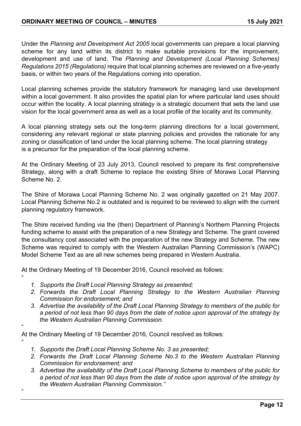Under the *Planning and Development Act 2005* local governments can prepare a local planning scheme for any land within its district to make suitable provisions for the improvement, development and use of land. The *Planning and Development (Local Planning Schemes) Regulations 2015 (Regulations)* require that local planning schemes are reviewed on a five-yearly basis, or within two years of the Regulations coming into operation.

Local planning schemes provide the statutory framework for managing land use development within a local government. It also provides the spatial plan for where particular land uses should occur within the locality. A local planning strategy is a strategic document that sets the land use vision for the local government area as well as a local profile of the locality and its community.

A local planning strategy sets out the long-term planning directions for a local government, considering any relevant regional or state planning policies and provides the rationale for any zoning or classification of land under the local planning scheme. The local planning strategy is a precursor for the preparation of the local planning scheme.

At the Ordinary Meeting of 23 July 2013, Council resolved to prepare its first comprehensive Strategy, along with a draft Scheme to replace the existing Shire of Morawa Local Planning Scheme No. 2.

The Shire of Morawa Local Planning Scheme No. 2 was originally gazetted on 21 May 2007. Local Planning Scheme No.2 is outdated and is required to be reviewed to align with the current planning regulatory framework.

The Shire received funding via the (then) Department of Planning's Northern Planning Projects funding scheme to assist with the preparation of a new Strategy and Scheme. The grant covered the consultancy cost associated with the preparation of the new Strategy and Scheme. The new Scheme was required to comply with the Western Australian Planning Commission's (WAPC) Model Scheme Text as are all new schemes being prepared in Western Australia.

At the Ordinary Meeting of 19 December 2016, Council resolved as follows:

*1. Supports the Draft Local Planning Strategy as presented;*

"

"

 $\mu$ 

- *2. Forwards the Draft Local Planning Strategy to the Western Australian Planning Commission for endorsement; and*
- *3. Advertise the availability of the Draft Local Planning Strategy to members of the public for a period of not less than 90 days from the date of notice upon approval of the strategy by the Western Australian Planning Commission.*

At the Ordinary Meeting of 19 December 2016, Council resolved as follows: "

- *1. Supports the Draft Local Planning Scheme No. 3 as presented;*
- *2. Forwards the Draft Local Planning Scheme No.3 to the Western Australian Planning Commission for endorsement; and*
- *3. Advertise the availability of the Draft Local Planning Scheme to members of the public for a period of not less than 90 days from the date of notice upon approval of the strategy by the Western Australian Planning Commission."*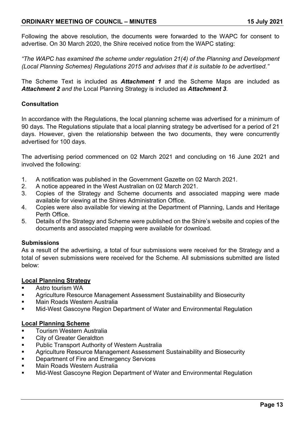## **ORDINARY MEETING OF COUNCIL – MINUTES 15 July 2021**

Following the above resolution, the documents were forwarded to the WAPC for consent to advertise. On 30 March 2020, the Shire received notice from the WAPC stating:

*"The WAPC has examined the scheme under regulation 21(4) of the Planning and Development (Local Planning Schemes) Regulations 2015 and advises that it is suitable to be advertised."*

The Scheme Text is included as *Attachment 1* and the Scheme Maps are included as *Attachment 2 and the* Local Planning Strategy is included as *Attachment 3.*

#### **Consultation**

In accordance with the Regulations, the local planning scheme was advertised for a minimum of 90 days. The Regulations stipulate that a local planning strategy be advertised for a period of 21 days. However, given the relationship between the two documents, they were concurrently advertised for 100 days.

The advertising period commenced on 02 March 2021 and concluding on 16 June 2021 and involved the following:

- 1. A notification was published in the Government Gazette on 02 March 2021.
- 2. A notice appeared in the West Australian on 02 March 2021.
- 3. Copies of the Strategy and Scheme documents and associated mapping were made available for viewing at the Shires Administration Office.
- 4. Copies were also available for viewing at the Department of Planning, Lands and Heritage Perth Office.
- 5. Details of the Strategy and Scheme were published on the Shire's website and copies of the documents and associated mapping were available for download.

#### **Submissions**

As a result of the advertising, a total of four submissions were received for the Strategy and a total of seven submissions were received for the Scheme. All submissions submitted are listed below:

#### **Local Planning Strategy**

- **Astro tourism WA**
- Agriculture Resource Management Assessment Sustainability and Biosecurity
- **Main Roads Western Australia**
- Mid-West Gascoyne Region Department of Water and Environmental Regulation

#### **Local Planning Scheme**

- **Tourism Western Australia**
- City of Greater Geraldton
- **Public Transport Authority of Western Australia**
- Agriculture Resource Management Assessment Sustainability and Biosecurity
- **Department of Fire and Emergency Services**
- Main Roads Western Australia
- Mid-West Gascoyne Region Department of Water and Environmental Regulation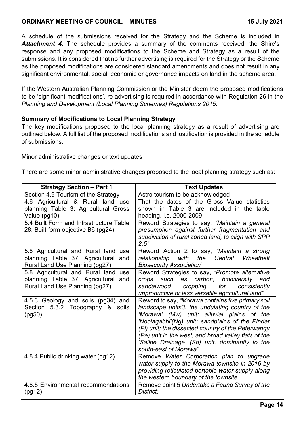## **ORDINARY MEETING OF COUNCIL – MINUTES 15 July 2021**

A schedule of the submissions received for the Strategy and the Scheme is included in *Attachment 4***.** The schedule provides a summary of the comments received, the Shire's response and any proposed modifications to the Scheme and Strategy as a result of the submissions. It is considered that no further advertising is required for the Strategy or the Scheme as the proposed modifications are considered standard amendments and does not result in any significant environmental, social, economic or governance impacts on land in the scheme area.

If the Western Australian Planning Commission or the Minister deem the proposed modifications to be 'significant modifications', re advertising is required in accordance with Regulation 26 in the *Planning and Development (Local Planning Schemes) Regulations 2015*.

### **Summary of Modifications to Local Planning Strategy**

The key modifications proposed to the local planning strategy as a result of advertising are outlined below. A full list of the proposed modifications and justification is provided in the schedule of submissions.

#### Minor administrative changes or text updates

There are some minor administrative changes proposed to the local planning strategy such as:

| <b>Strategy Section - Part 1</b>                                                                                   | <b>Text Updates</b>                                                                                                                                                                                                                                                                                                                                                                            |  |  |
|--------------------------------------------------------------------------------------------------------------------|------------------------------------------------------------------------------------------------------------------------------------------------------------------------------------------------------------------------------------------------------------------------------------------------------------------------------------------------------------------------------------------------|--|--|
| Section 4.9 Tourism of the Strategy                                                                                | Astro tourism to be acknowledged                                                                                                                                                                                                                                                                                                                                                               |  |  |
| 4.6 Agricultural & Rural land use<br>planning Table 3: Agricultural Gross<br>Value (pg10)                          | That the dates of the Gross Value statistics<br>shown in Table 3 are included in the table<br>heading, i.e. 2000-2009                                                                                                                                                                                                                                                                          |  |  |
| 5.4 Built Form and Infrastructure Table<br>28: Built form objective B6 (pg24)                                      | Reword Strategies to say, "Maintain a general<br>presumption against further fragmentation and<br>subdivision of rural zoned land, to align with SPP<br>2.5"                                                                                                                                                                                                                                   |  |  |
| 5.8 Agricultural and Rural land<br>use<br>planning Table 37: Agricultural<br>and<br>Rural Land Use Planning (pg27) | Reword Action 2 to say, "Maintain a strong<br>relationship<br>with<br>the<br>Central<br>Wheatbelt<br><b>Biosecurity Association"</b>                                                                                                                                                                                                                                                           |  |  |
| 5.8 Agricultural and Rural land<br>use<br>planning Table 37: Agricultural and<br>Rural Land Use Planning (pg27)    | Reword Strategies to say, "Promote alternative<br>such as carbon, biodiversity and<br>crops<br>consistently<br>sandalwood<br>cropping<br>for<br>unproductive or less versatile agricultural land"                                                                                                                                                                                              |  |  |
| 4.5.3 Geology and soils (pg34) and<br>Section 5.3.2 Topography & soils<br>(pg50)                                   | Reword to say, "Morawa contains five primary soil<br>landscape units3: the undulating country of the<br>'Morawa' (Mw) unit; alluvial plains of the<br>'Noolagabbi'(Ng) unit; sandplains of the Pindar<br>(Pi) unit; the dissected country of the Peterwangy<br>(Pe) unit in the west; and broad valley flats of the<br>'Saline Drainage' (Sd) unit, dominantly to the<br>south-east of Morawa" |  |  |
| 4.8.4 Public drinking water (pg12)                                                                                 | Remove Water Corporation plan to upgrade<br>water supply to the Morawa townsite in 2016 by<br>providing reticulated portable water supply along<br>the western boundary of the townsite.                                                                                                                                                                                                       |  |  |
| 4.8.5 Environmental recommendations<br>(pg12)                                                                      | Remove point 5 Undertake a Fauna Survey of the<br>District;                                                                                                                                                                                                                                                                                                                                    |  |  |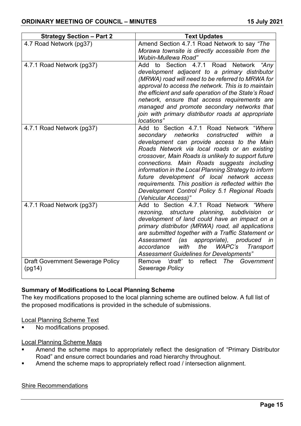| <b>Strategy Section - Part 2</b>                  | <b>Text Updates</b>                                                                                                                                                                                                                                                                                                                                                                                                                                                                                                               |
|---------------------------------------------------|-----------------------------------------------------------------------------------------------------------------------------------------------------------------------------------------------------------------------------------------------------------------------------------------------------------------------------------------------------------------------------------------------------------------------------------------------------------------------------------------------------------------------------------|
| 4.7 Road Network (pg37)                           | Amend Section 4.7.1 Road Network to say "The<br>Morawa townsite is directly accessible from the<br>Wubin-Mullewa Road"                                                                                                                                                                                                                                                                                                                                                                                                            |
| 4.7.1 Road Network (pg37)                         | Section 4.7.1 Road<br>"Anv<br><b>Network</b><br>Add<br>to<br>development adjacent to a primary distributor<br>(MRWA) road will need to be referred to MRWA for<br>approval to access the network. This is to maintain<br>the efficient and safe operation of the State's Road<br>network, ensure that access requirements are<br>managed and promote secondary networks that<br>join with primary distributor roads at appropriate<br>locations"                                                                                  |
| 4.7.1 Road Network (pg37)                         | Add to Section 4.7.1 Road Network "Where<br>secondary networks constructed<br>within<br>a<br>development can provide access to the Main<br>Roads Network via local roads or an existing<br>crossover, Main Roads is unlikely to support future<br>connections. Main Roads suggests including<br>information in the Local Planning Strategy to inform<br>future development of local network access<br>requirements. This position is reflected within the<br>Development Control Policy 5.1 Regional Roads<br>(Vehicular Access)" |
| 4.7.1 Road Network (pg37)                         | Add to Section 4.7.1 Road Network "Where<br>structure planning,<br>subdivision<br>rezoning,<br>or<br>development of land could have an impact on a<br>primary distributor (MRWA) road, all applications<br>are submitted together with a Traffic Statement or<br>Assessment (as<br>appropriate), produced<br>in<br>with<br><b>WAPC's</b><br>accordance<br>the<br>Transport<br><b>Assessment Guidelines for Developments"</b>                                                                                                      |
| <b>Draft Government Sewerage Policy</b><br>(pg14) | ʻdraft'<br>reflect<br>Remove<br>The<br>to<br>Government<br>Sewerage Policy                                                                                                                                                                                                                                                                                                                                                                                                                                                        |

## **Summary of Modifications to Local Planning Scheme**

The key modifications proposed to the local planning scheme are outlined below. A full list of the proposed modifications is provided in the schedule of submissions.

Local Planning Scheme Text

• No modifications proposed.

Local Planning Scheme Maps

- Amend the scheme maps to appropriately reflect the designation of "Primary Distributor Road" and ensure correct boundaries and road hierarchy throughout.
- Amend the scheme maps to appropriately reflect road / intersection alignment.

#### Shire Recommendations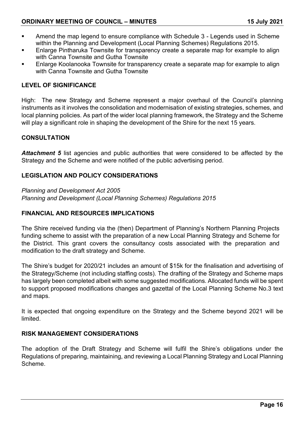- Amend the map legend to ensure compliance with Schedule 3 Legends used in Scheme within the Planning and Development (Local Planning Schemes) Regulations 2015.
- Enlarge Pintharuka Townsite for transparency create a separate map for example to align with Canna Townsite and Gutha Townsite
- Enlarge Koolanooka Townsite for transparency create a separate map for example to align with Canna Townsite and Gutha Townsite

### **LEVEL OF SIGNIFICANCE**

High: The new Strategy and Scheme represent a major overhaul of the Council's planning instruments as it involves the consolidation and modernisation of existing strategies, schemes, and local planning policies. As part of the wider local planning framework, the Strategy and the Scheme will play a significant role in shaping the development of the Shire for the next 15 years.

#### **CONSULTATION**

Attachment 5 list agencies and public authorities that were considered to be affected by the Strategy and the Scheme and were notified of the public advertising period.

#### **LEGISLATION AND POLICY CONSIDERATIONS**

*Planning and Development Act 2005 Planning and Development (Local Planning Schemes) Regulations 2015*

#### **FINANCIAL AND RESOURCES IMPLICATIONS**

The Shire received funding via the (then) Department of Planning's Northern Planning Projects funding scheme to assist with the preparation of a new Local Planning Strategy and Scheme for the District. This grant covers the consultancy costs associated with the preparation and modification to the draft strategy and Scheme.

The Shire's budget for 2020/21 includes an amount of \$15k for the finalisation and advertising of the Strategy/Scheme (not including staffing costs). The drafting of the Strategy and Scheme maps has largely been completed albeit with some suggested modifications. Allocated funds will be spent to support proposed modifications changes and gazettal of the Local Planning Scheme No.3 text and maps.

It is expected that ongoing expenditure on the Strategy and the Scheme beyond 2021 will be limited.

#### **RISK MANAGEMENT CONSIDERATIONS**

The adoption of the Draft Strategy and Scheme will fulfil the Shire's obligations under the Regulations of preparing, maintaining, and reviewing a Local Planning Strategy and Local Planning Scheme.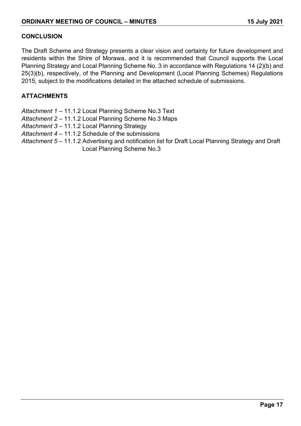### **CONCLUSION**

The Draft Scheme and Strategy presents a clear vision and certainty for future development and residents within the Shire of Morawa, and it is recommended that Council supports the Local Planning Strategy and Local Planning Scheme No. 3 in accordance with Regulations 14 (2)(b) and 25(3)(b), respectively, of the Planning and Development (Local Planning Schemes) Regulations 2015, subject to the modifications detailed in the attached schedule of submissions.

## **ATTACHMENTS**

- *Attachment 1 –* 11.1.2 Local Planning Scheme No.3 Text
- *Attachment 2 –* 11.1.2 Local Planning Scheme No.3 Maps
- *Attachment 3 –* 11.1.2 Local Planning Strategy
- *Attachment 4 –* 11.1.2 Schedule of the submissions
- *Attachment 5 –* 11.1.2 Advertising and notification list for Draft Local Planning Strategy and Draft Local Planning Scheme No.3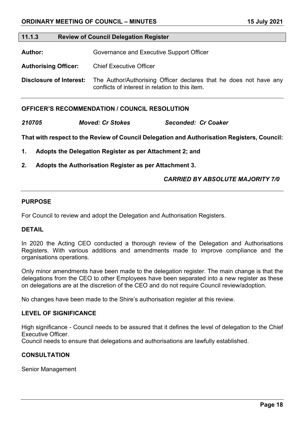#### <span id="page-17-0"></span>**11.1.3 Review of Council Delegation Register**

Author: **Governance and Executive Support Officer** 

**Authorising Officer:** Chief Executive Officer

**Disclosure of Interest:** The Author/Authorising Officer declares that he does not have any conflicts of interest in relation to this item.

#### **OFFICER'S RECOMMENDATION / COUNCIL RESOLUTION**

*210705 Moved: Cr Stokes Seconded: Cr Coaker*

**That with respect to the Review of Council Delegation and Authorisation Registers, Council:**

- **1. Adopts the Delegation Register as per Attachment 2; and**
- **2. Adopts the Authorisation Register as per Attachment 3.**

#### *CARRIED BY ABSOLUTE MAJORITY 7/0*

#### **PURPOSE**

For Council to review and adopt the Delegation and Authorisation Registers.

#### **DETAIL**

In 2020 the Acting CEO conducted a thorough review of the Delegation and Authorisations Registers. With various additions and amendments made to improve compliance and the organisations operations.

Only minor amendments have been made to the delegation register. The main change is that the delegations from the CEO to other Employees have been separated into a new register as these on delegations are at the discretion of the CEO and do not require Council review/adoption.

No changes have been made to the Shire's authorisation register at this review.

#### **LEVEL OF SIGNIFICANCE**

High significance - Council needs to be assured that it defines the level of delegation to the Chief Executive Officer.

Council needs to ensure that delegations and authorisations are lawfully established.

#### **CONSULTATION**

Senior Management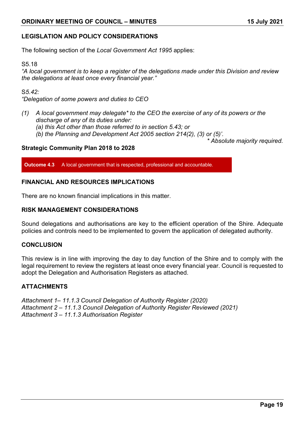## **LEGISLATION AND POLICY CONSIDERATIONS**

The following section of the *Local Government Act 1995* applies:

#### S5.18

*"A local government is to keep a register of the delegations made under this Division and review the delegations at least once every financial year."*

#### S*5.42:*

*"Delegation of some powers and duties to CEO* 

- *(1) A local government may delegate\* to the CEO the exercise of any of its powers or the discharge of any of its duties under:*
	- *(a) this Act other than those referred to in section 5.43; or*
	- *(b) the Planning and Development Act 2005 section 214(2), (3) or (5)'.*

*\* Absolute majority required.*

#### **Strategic Community Plan 2018 to 2028**

**Outcome 4.3** A local government that is respected, professional and accountable.

#### **FINANCIAL AND RESOURCES IMPLICATIONS**

There are no known financial implications in this matter.

#### **RISK MANAGEMENT CONSIDERATIONS**

Sound delegations and authorisations are key to the efficient operation of the Shire. Adequate policies and controls need to be implemented to govern the application of delegated authority.

#### **CONCLUSION**

This review is in line with improving the day to day function of the Shire and to comply with the legal requirement to review the registers at least once every financial year. Council is requested to adopt the Delegation and Authorisation Registers as attached.

#### **ATTACHMENTS**

*Attachment 1– 11.1.3 Council Delegation of Authority Register (2020) Attachment 2 – 11.1.3 Council Delegation of Authority Register Reviewed (2021) Attachment 3 – 11.1.3 Authorisation Register*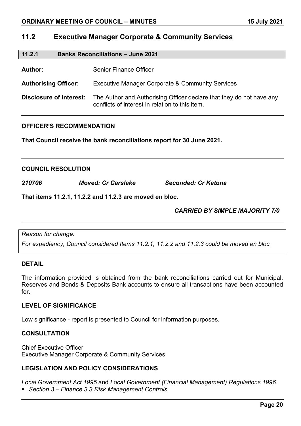## <span id="page-19-0"></span>**11.2 Executive Manager Corporate & Community Services**

<span id="page-19-1"></span>

| 11.2.1 | <b>Banks Reconciliations - June 2021</b> |
|--------|------------------------------------------|
|        |                                          |

Author: Senior Finance Officer

**Authorising Officer:** Executive Manager Corporate & Community Services

**Disclosure of Interest:** The Author and Authorising Officer declare that they do not have any conflicts of interest in relation to this item.

#### **OFFICER'S RECOMMENDATION**

**That Council receive the bank reconciliations report for 30 June 2021.**

#### **COUNCIL RESOLUTION**

*210706 Moved: Cr Carslake Seconded: Cr Katona*

**That items 11.2.1, 11.2.2 and 11.2.3 are moved en bloc.**

## *CARRIED BY SIMPLE MAJORITY 7/0*

*Reason for change:*

*For expediency, Council considered Items 11.2.1, 11.2.2 and 11.2.3 could be moved en bloc.*

#### **DETAIL**

The information provided is obtained from the bank reconciliations carried out for Municipal, Reserves and Bonds & Deposits Bank accounts to ensure all transactions have been accounted for.

#### **LEVEL OF SIGNIFICANCE**

Low significance - report is presented to Council for information purposes.

#### **CONSULTATION**

Chief Executive Officer Executive Manager Corporate & Community Services

#### **LEGISLATION AND POLICY CONSIDERATIONS**

*Local Government Act 1995* and *Local Government (Financial Management) Regulations 1996*. *Section 3 – Finance 3.3 Risk Management Controls*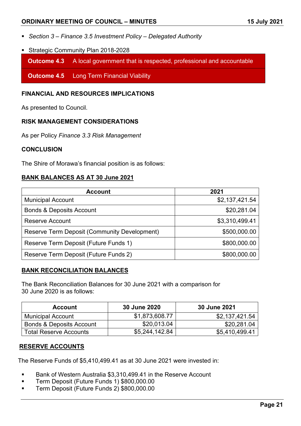### **ORDINARY MEETING OF COUNCIL – MINUTES 15 July 2021**

- *Section 3 – Finance 3.5 Investment Policy – Delegated Authority*
- Strategic Community Plan 2018-2028

**Outcome 4.3** A local government that is respected, professional and accountable

**Outcome 4.5** Long Term Financial Viability

#### **FINANCIAL AND RESOURCES IMPLICATIONS**

As presented to Council.

#### **RISK MANAGEMENT CONSIDERATIONS**

As per Policy *Finance 3.3 Risk Management*

#### **CONCLUSION**

The Shire of Morawa's financial position is as follows:

#### **BANK BALANCES AS AT 30 June 2021**

| <b>Account</b>                                      | 2021           |
|-----------------------------------------------------|----------------|
| <b>Municipal Account</b>                            | \$2,137,421.54 |
| <b>Bonds &amp; Deposits Account</b>                 | \$20,281.04    |
| <b>Reserve Account</b>                              | \$3,310,499.41 |
| <b>Reserve Term Deposit (Community Development)</b> | \$500,000.00   |
| Reserve Term Deposit (Future Funds 1)               | \$800,000.00   |
| Reserve Term Deposit (Future Funds 2)               | \$800,000.00   |

#### **BANK RECONCILIATION BALANCES**

The Bank Reconciliation Balances for 30 June 2021 with a comparison for 30 June 2020 is as follows:

| <b>Account</b>                      | 30 June 2020   | 30 June 2021   |  |
|-------------------------------------|----------------|----------------|--|
| <b>Municipal Account</b>            | \$1,873,608.77 | \$2,137,421.54 |  |
| <b>Bonds &amp; Deposits Account</b> | \$20,013.04    | \$20,281.04    |  |
| <b>Total Reserve Accounts</b>       | \$5,244,142.84 | \$5,410,499.41 |  |

#### **RESERVE ACCOUNTS**

The Reserve Funds of \$5,410,499.41 as at 30 June 2021 were invested in:

- Bank of Western Australia \$3.310.499.41 in the Reserve Account
- Term Deposit (Future Funds 1) \$800,000.00
- Term Deposit (Future Funds 2) \$800,000.00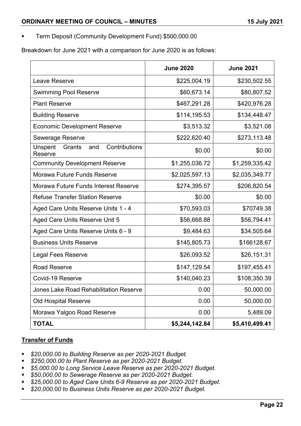Term Deposit (Community Development Fund) \$500,000.00

Breakdown for June 2021 with a comparison for June 2020 is as follows:

|                                                      | <b>June 2020</b> | <b>June 2021</b> |
|------------------------------------------------------|------------------|------------------|
| <b>Leave Reserve</b>                                 | \$225,004.19     | \$230,502.55     |
| <b>Swimming Pool Reserve</b>                         | \$60,673.14      | \$80,807.52      |
| <b>Plant Reserve</b>                                 | \$467,291.28     | \$420,976.28     |
| <b>Building Reserve</b>                              | \$114,195.53     | \$134,448.47     |
| <b>Economic Development Reserve</b>                  | \$3,513.32       | \$3,521.08       |
| <b>Sewerage Reserve</b>                              | \$222,620.40     | \$273,113.48     |
| Contributions<br>Grants<br>and<br>Unspent<br>Reserve | \$0.00           | \$0.00           |
| <b>Community Development Reserve</b>                 | \$1,255,036.72   | \$1,259,335.42   |
| Morawa Future Funds Reserve                          | \$2,025,597.13   | \$2,035,349.77   |
| <b>Morawa Future Funds Interest Reserve</b>          | \$274,395.57     | \$206,820.54     |
| <b>Refuse Transfer Station Reserve</b>               | \$0.00           | \$0.00           |
| Aged Care Units Reserve Units 1 - 4                  | \$70,593.03      | \$70749.38       |
| Aged Care Units Reserve Unit 5                       | \$56,668.88      | \$56,794.41      |
| Aged Care Units Reserve Units 6 - 9                  | \$9,484.63       | \$34,505.64      |
| <b>Business Units Reserve</b>                        | \$145,805.73     | \$166128.67      |
| <b>Legal Fees Reserve</b>                            | \$26,093.52      | \$26,151.31      |
| <b>Road Reserve</b>                                  | \$147,129.54     | \$197,455.41     |
| Covid-19 Reserve                                     | \$140,040.23     | \$108,350.39     |
| <b>Jones Lake Road Rehabilitation Reserve</b>        | 0.00             | 50,000.00        |
| <b>Old Hospital Reserve</b>                          | 0.00             | 50,000.00        |
| Morawa Yalgoo Road Reserve                           | 0.00             | 5,489.09         |
| <b>TOTAL</b>                                         | \$5,244,142.84   | \$5,410,499.41   |

## **Transfer of Funds**

- *\$20,000.00 to Building Reserve as per 2020-2021 Budget.*
- *\$250,000.00 to Plant Reserve as per 2020-2021 Budget.*
- *\$5,000.00 to Long Service Leave Reserve as per 2020-2021 Budget.*
- *\$50,000.00 to Sewerage Reserve as per 2020-2021 Budget.*
- *\$25,000.00 to Aged Care Units 6-9 Reserve as per 2020-2021 Budget.*
- *\$20,000.00 to Business Units Reserve as per 2020-2021 Budget.*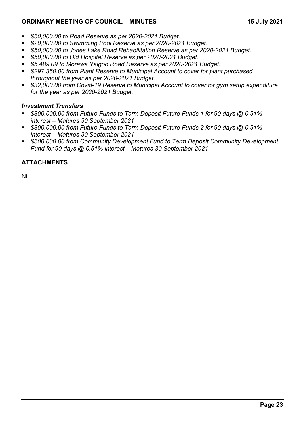- *\$50,000.00 to Road Reserve as per 2020-2021 Budget.*
- *\$20,000.00 to Swimming Pool Reserve as per 2020-2021 Budget.*
- *\$50,000.00 to Jones Lake Road Rehabilitation Reserve as per 2020-2021 Budget.*
- *\$50,000.00 to Old Hospital Reserve as per 2020-2021 Budget.*
- *\$5,489.09 to Morawa Yalgoo Road Reserve as per 2020-2021 Budget.*
- *\$297,350.00 from Plant Reserve to Municipal Account to cover for plant purchased throughout the year as per 2020-2021 Budget.*
- *\$32,000.00 from Covid-19 Reserve to Municipal Account to cover for gym setup expenditure for the year as per 2020-2021 Budget.*

## *Investment Transfers*

- *\$800,000.00 from Future Funds to Term Deposit Future Funds 1 for 90 days @ 0.51% interest – Matures 30 September 2021*
- *\$800,000.00 from Future Funds to Term Deposit Future Funds 2 for 90 days @ 0.51% interest – Matures 30 September 2021*
- *\$500,000.00 from Community Development Fund to Term Deposit Community Development Fund for 90 days @ 0.51% interest – Matures 30 September 2021*

## **ATTACHMENTS**

Nil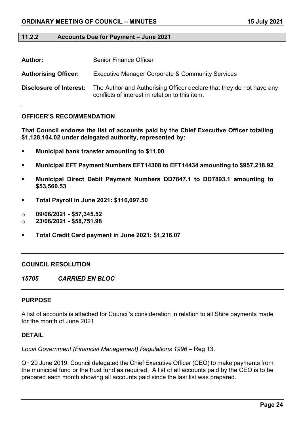#### <span id="page-23-0"></span>**11.2.2 Accounts Due for Payment – June 2021**

| <b>Author:</b>              | <b>Senior Finance Officer</b>                                                                                           |
|-----------------------------|-------------------------------------------------------------------------------------------------------------------------|
| <b>Authorising Officer:</b> | <b>Executive Manager Corporate &amp; Community Services</b>                                                             |
| Disclosure of Interest:     | The Author and Authorising Officer declare that they do not have any<br>conflicts of interest in relation to this item. |

#### **OFFICER'S RECOMMENDATION**

**That Council endorse the list of accounts paid by the Chief Executive Officer totalling \$1,128,104.02 under delegated authority, represented by:**

- **Municipal bank transfer amounting to \$11.00**
- **Municipal EFT Payment Numbers EFT14308 to EFT14434 amounting to \$957,218.92**
- **Municipal Direct Debit Payment Numbers DD7847.1 to DD7893.1 amounting to \$53,560.53**
- **Total Payroll in June 2021: \$116,097.50**
- o **09/06/2021 - \$57,345.52**
- o **23/06/2021 - \$58,751.98**
- **Total Credit Card payment in June 2021: \$1,216.07**

#### **COUNCIL RESOLUTION**

*15705 CARRIED EN BLOC*

#### **PURPOSE**

A list of accounts is attached for Council's consideration in relation to all Shire payments made for the month of June 2021.

#### **DETAIL**

*Local Government (Financial Management) Regulations 1996* – Reg 13.

On 20 June 2019, Council delegated the Chief Executive Officer (CEO) to make payments from the municipal fund or the trust fund as required. A list of all accounts paid by the CEO is to be prepared each month showing all accounts paid since the last list was prepared.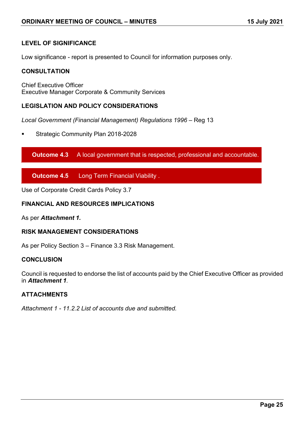## **LEVEL OF SIGNIFICANCE**

Low significance - report is presented to Council for information purposes only.

#### **CONSULTATION**

Chief Executive Officer Executive Manager Corporate & Community Services

#### **LEGISLATION AND POLICY CONSIDERATIONS**

*Local Government (Financial Management) Regulations 1996* – Reg 13

Strategic Community Plan 2018-2028

**Outcome 4.3** A local government that is respected, professional and accountable.

**Outcome 4.5** Long Term Financial Viability .

Use of Corporate Credit Cards Policy 3.7

#### **FINANCIAL AND RESOURCES IMPLICATIONS**

As per *Attachment 1.*

#### **RISK MANAGEMENT CONSIDERATIONS**

As per Policy Section 3 – Finance 3.3 Risk Management.

#### **CONCLUSION**

Council is requested to endorse the list of accounts paid by the Chief Executive Officer as provided in *Attachment 1.*

#### **ATTACHMENTS**

*Attachment 1 - 11.2.2 List of accounts due and submitted.*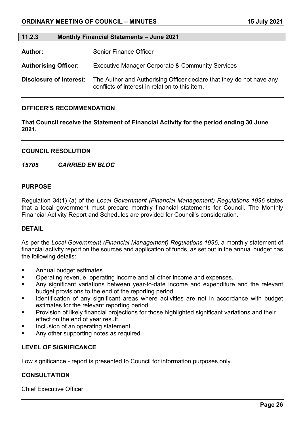## <span id="page-25-0"></span>**11.2.3 Monthly Financial Statements – June 2021 Author:** Senior Finance Officer **Authorising Officer:** Executive Manager Corporate & Community Services **Disclosure of Interest:** The Author and Authorising Officer declare that they do not have any conflicts of interest in relation to this item.

#### **OFFICER'S RECOMMENDATION**

**That Council receive the Statement of Financial Activity for the period ending 30 June 2021.**

#### **COUNCIL RESOLUTION**

#### *15705 CARRIED EN BLOC*

#### **PURPOSE**

Regulation 34(1) (a) of the *Local Government (Financial Management) Regulations 1996* states that a local government must prepare monthly financial statements for Council. The Monthly Financial Activity Report and Schedules are provided for Council's consideration.

#### **DETAIL**

As per the *Local Government (Financial Management) Regulations 1996*, a monthly statement of financial activity report on the sources and application of funds, as set out in the annual budget has the following details:

- **Annual budget estimates.**
- **•** Operating revenue, operating income and all other income and expenses.
- Any significant variations between year-to-date income and expenditure and the relevant budget provisions to the end of the reporting period.
- Identification of any significant areas where activities are not in accordance with budget estimates for the relevant reporting period.
- Provision of likely financial projections for those highlighted significant variations and their effect on the end of year result.
- Inclusion of an operating statement.
- Any other supporting notes as required.

### **LEVEL OF SIGNIFICANCE**

Low significance - report is presented to Council for information purposes only.

#### **CONSULTATION**

Chief Executive Officer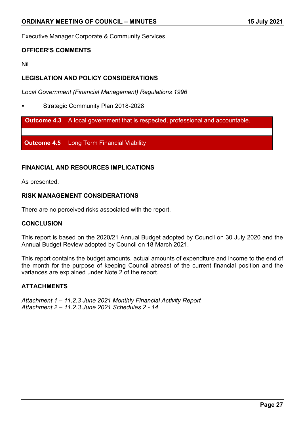Executive Manager Corporate & Community Services

## **OFFICER'S COMMENTS**

Nil

## **LEGISLATION AND POLICY CONSIDERATIONS**

*Local Government (Financial Management) Regulations 1996*

Strategic Community Plan 2018-2028

**Outcome 4.3** A local government that is respected, professional and accountable.

**Outcome 4.5** Long Term Financial Viability

## **FINANCIAL AND RESOURCES IMPLICATIONS**

As presented.

### **RISK MANAGEMENT CONSIDERATIONS**

There are no perceived risks associated with the report.

#### **CONCLUSION**

This report is based on the 2020/21 Annual Budget adopted by Council on 30 July 2020 and the Annual Budget Review adopted by Council on 18 March 2021.

This report contains the budget amounts, actual amounts of expenditure and income to the end of the month for the purpose of keeping Council abreast of the current financial position and the variances are explained under Note 2 of the report.

## **ATTACHMENTS**

*Attachment 1 – 11.2.3 June 2021 Monthly Financial Activity Report Attachment 2 – 11.2.3 June 2021 Schedules 2 - 14*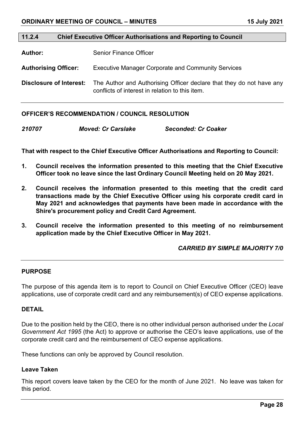#### <span id="page-27-0"></span>**11.2.4 Chief Executive Officer Authorisations and Reporting to Council**

**Author:** Senior Finance Officer

**Authorising Officer:** Executive Manager Corporate and Community Services

**Disclosure of Interest:** The Author and Authorising Officer declare that they do not have any conflicts of interest in relation to this item.

#### **OFFICER'S RECOMMENDATION / COUNCIL RESOLUTION**

*210707 Moved: Cr Carslake Seconded: Cr Coaker*

**That with respect to the Chief Executive Officer Authorisations and Reporting to Council:** 

- **1. Council receives the information presented to this meeting that the Chief Executive Officer took no leave since the last Ordinary Council Meeting held on 20 May 2021.**
- **2. Council receives the information presented to this meeting that the credit card transactions made by the Chief Executive Officer using his corporate credit card in May 2021 and acknowledges that payments have been made in accordance with the Shire's procurement policy and Credit Card Agreement.**
- **3. Council receive the information presented to this meeting of no reimbursement application made by the Chief Executive Officer in May 2021.**

#### *CARRIED BY SIMPLE MAJORITY 7/0*

#### **PURPOSE**

The purpose of this agenda item is to report to Council on Chief Executive Officer (CEO) leave applications, use of corporate credit card and any reimbursement(s) of CEO expense applications.

#### **DETAIL**

Due to the position held by the CEO, there is no other individual person authorised under the *Local Government Act 1995* (the Act) to approve or authorise the CEO's leave applications, use of the corporate credit card and the reimbursement of CEO expense applications.

These functions can only be approved by Council resolution.

#### **Leave Taken**

This report covers leave taken by the CEO for the month of June 2021. No leave was taken for this period.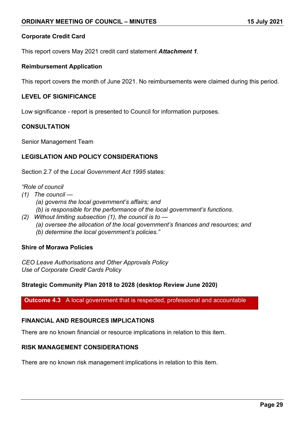#### **Corporate Credit Card**

This report covers May 2021 credit card statement *Attachment 1*.

#### **Reimbursement Application**

This report covers the month of June 2021. No reimbursements were claimed during this period.

#### **LEVEL OF SIGNIFICANCE**

Low significance - report is presented to Council for information purposes.

#### **CONSULTATION**

Senior Management Team

#### **LEGISLATION AND POLICY CONSIDERATIONS**

Section 2.7 of the *Local Government Act 1995* states:

#### *"Role of council*

- *(1) The council —*
	- *(a) governs the local government's affairs; and*
	- *(b) is responsible for the performance of the local government's functions.*
- *(2) Without limiting subsection (1), the council is to* 
	- *(a) oversee the allocation of the local government's finances and resources; and*
	- *(b) determine the local government's policies."*

#### **Shire of Morawa Policies**

*CEO Leave Authorisations and Other Approvals Policy Use of Corporate Credit Cards Policy*

#### **Strategic Community Plan 2018 to 2028 (desktop Review June 2020)**

**Outcome 4.3** A local government that is respected, professional and accountable

#### **FINANCIAL AND RESOURCES IMPLICATIONS**

There are no known financial or resource implications in relation to this item.

### **RISK MANAGEMENT CONSIDERATIONS**

There are no known risk management implications in relation to this item.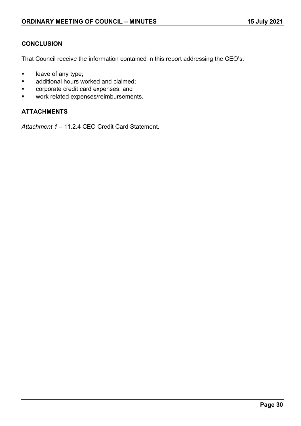## **CONCLUSION**

That Council receive the information contained in this report addressing the CEO's:

- **leave of any type;**
- **additional hours worked and claimed;**
- **EXECO corporate credit card expenses; and**
- **work related expenses/reimbursements.**

### **ATTACHMENTS**

*Attachment 1 –* 11.2.4 CEO Credit Card Statement.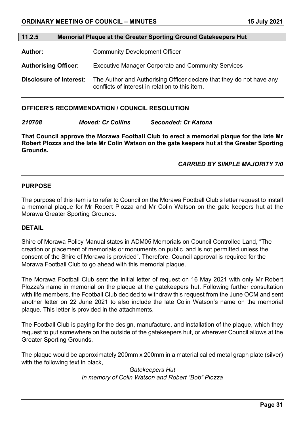## <span id="page-30-0"></span>**11.2.5 Memorial Plaque at the Greater Sporting Ground Gatekeepers Hut Author:** Community Development Officer **Authorising Officer:** Executive Manager Corporate and Community Services

**Disclosure of Interest:** The Author and Authorising Officer declare that they do not have any

conflicts of interest in relation to this item.

#### **OFFICER'S RECOMMENDATION / COUNCIL RESOLUTION**

*210708 Moved: Cr Collins Seconded: Cr Katona*

**That Council approve the Morawa Football Club to erect a memorial plaque for the late Mr Robert Plozza and the late Mr Colin Watson on the gate keepers hut at the Greater Sporting Grounds.** 

## *CARRIED BY SIMPLE MAJORITY 7/0*

#### **PURPOSE**

The purpose of this item is to refer to Council on the Morawa Football Club's letter request to install a memorial plaque for Mr Robert Plozza and Mr Colin Watson on the gate keepers hut at the Morawa Greater Sporting Grounds.

#### **DETAIL**

Shire of Morawa Policy Manual states in ADM05 Memorials on Council Controlled Land, "The creation or placement of memorials or monuments on public land is not permitted unless the consent of the Shire of Morawa is provided". Therefore, Council approval is required for the Morawa Football Club to go ahead with this memorial plaque.

The Morawa Football Club sent the initial letter of request on 16 May 2021 with only Mr Robert Plozza's name in memorial on the plaque at the gatekeepers hut. Following further consultation with life members, the Football Club decided to withdraw this request from the June OCM and sent another letter on 22 June 2021 to also include the late Colin Watson's name on the memorial plaque. This letter is provided in the attachments.

The Football Club is paying for the design, manufacture, and installation of the plaque, which they request to put somewhere on the outside of the gatekeepers hut, or wherever Council allows at the Greater Sporting Grounds.

The plaque would be approximately 200mm x 200mm in a material called metal graph plate (silver) with the following text in black,

> *Gatekeepers Hut In memory of Colin Watson and Robert "Bob" Plozza*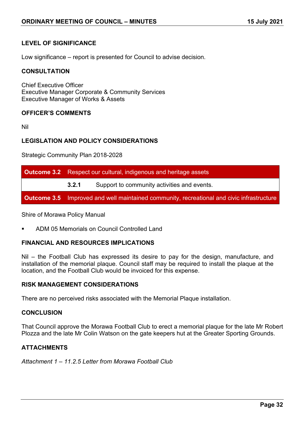## **LEVEL OF SIGNIFICANCE**

Low significance – report is presented for Council to advise decision.

#### **CONSULTATION**

Chief Executive Officer Executive Manager Corporate & Community Services Executive Manager of Works & Assets

#### **OFFICER'S COMMENTS**

Nil

#### **LEGISLATION AND POLICY CONSIDERATIONS**

Strategic Community Plan 2018-2028

| <b>Outcome 3.2</b> Respect our cultural, indigenous and heritage assets                          |                                             |  |
|--------------------------------------------------------------------------------------------------|---------------------------------------------|--|
| 3.2.1                                                                                            | Support to community activities and events. |  |
| <b>Outcome 3.5</b> Improved and well maintained community, recreational and civic infrastructure |                                             |  |

Shire of Morawa Policy Manual

ADM 05 Memorials on Council Controlled Land

#### **FINANCIAL AND RESOURCES IMPLICATIONS**

Nil – the Football Club has expressed its desire to pay for the design, manufacture, and installation of the memorial plaque. Council staff may be required to install the plaque at the location, and the Football Club would be invoiced for this expense.

#### **RISK MANAGEMENT CONSIDERATIONS**

There are no perceived risks associated with the Memorial Plaque installation.

#### **CONCLUSION**

That Council approve the Morawa Football Club to erect a memorial plaque for the late Mr Robert Plozza and the late Mr Colin Watson on the gate keepers hut at the Greater Sporting Grounds.

#### **ATTACHMENTS**

*Attachment 1 – 11.2.5 Letter from Morawa Football Club*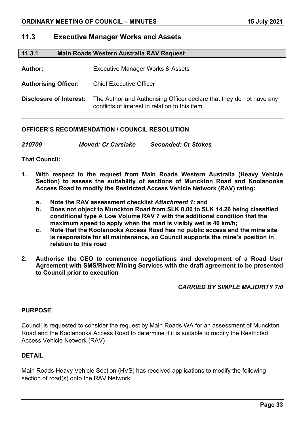## <span id="page-32-0"></span>**11.3 Executive Manager Works and Assets**

<span id="page-32-1"></span>

| 11.3.1 | Main Roads Western Australia RAV Request |
|--------|------------------------------------------|
|--------|------------------------------------------|

**Author:** Executive Manager Works & Assets

**Authorising Officer:** Chief Executive Officer

**Disclosure of Interest:** The Author and Authorising Officer declare that they do not have any conflicts of interest in relation to this item.

### **OFFICER'S RECOMMENDATION / COUNCIL RESOLUTION**

*210709 Moved: Cr Carslake Seconded: Cr Stokes*

**That Council:**

- **1. With respect to the request from Main Roads Western Australia (Heavy Vehicle Section) to assess the suitability of sections of Munckton Road and Koolanooka Access Road to modify the Restricted Access Vehicle Network (RAV) rating:**
	- **a. Note the RAV assessment checklist** *Attachment 1;* **and**
	- **b. Does not object to Munckton Road from SLK 0.00 to SLK 14.26 being classified conditional type A Low Volume RAV 7 with the additional condition that the maximum speed to apply when the road is visibly wet is 40 km/h;**
	- **c. Note that the Koolanooka Access Road has no public access and the mine site is responsible for all maintenance, so Council supports the mine's position in relation to this road**
- **2. Authorise the CEO to commence negotiations and development of a Road User Agreement with SMS/Rivett Mining Services with the draft agreement to be presented to Council prior to execution**

## *CARRIED BY SIMPLE MAJORITY 7/0*

#### **PURPOSE**

Council is requested to consider the request by Main Roads WA for an assessment of Munckton Road and the Koolanooka Access Road to determine if it is suitable to modify the Restricted Access Vehicle Network (RAV)

#### **DETAIL**

Main Roads Heavy Vehicle Section (HVS) has received applications to modify the following section of road(s) onto the RAV Network: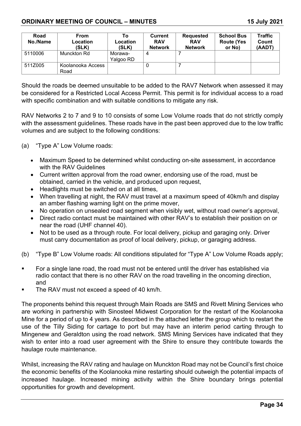| Road<br>No./Name | From<br>Location<br>(SLK) | Τo<br>Location<br>(SLK) | Current<br><b>RAV</b><br><b>Network</b> | <b>Requested</b><br><b>RAV</b><br><b>Network</b> | <b>School Bus</b><br><b>Route (Yes</b><br>or No) | <b>Traffic</b><br>Count<br>(AADT) |
|------------------|---------------------------|-------------------------|-----------------------------------------|--------------------------------------------------|--------------------------------------------------|-----------------------------------|
| 5110006          | Munckton Rd               | Morawa-<br>Yalgoo RD    | 4                                       |                                                  |                                                  |                                   |
| 511Z005          | Koolanooka Access<br>Road |                         | U                                       |                                                  |                                                  |                                   |

Should the roads be deemed unsuitable to be added to the RAV7 Network when assessed it may be considered for a Restricted Local Access Permit. This permit is for individual access to a road with specific combination and with suitable conditions to mitigate any risk.

RAV Networks 2 to 7 and 9 to 10 consists of some Low Volume roads that do not strictly comply with the assessment guidelines. These roads have in the past been approved due to the low traffic volumes and are subject to the following conditions:

- (a) "Type A" Low Volume roads:
	- Maximum Speed to be determined whilst conducting on-site assessment, in accordance with the RAV Guidelines
	- Current written approval from the road owner, endorsing use of the road, must be obtained, carried in the vehicle, and produced upon request,
	- Headlights must be switched on at all times,
	- When travelling at night, the RAV must travel at a maximum speed of 40km/h and display an amber flashing warning light on the prime mover,
	- No operation on unsealed road segment when visibly wet, without road owner's approval,
	- Direct radio contact must be maintained with other RAV's to establish their position on or near the road (UHF channel 40).
	- Not to be used as a through route. For local delivery, pickup and garaging only. Driver must carry documentation as proof of local delivery, pickup, or garaging address.
- (b) "Type B" Low Volume roads: All conditions stipulated for "Type A" Low Volume Roads apply;
- For a single lane road, the road must not be entered until the driver has established via radio contact that there is no other RAV on the road travelling in the oncoming direction, and
- The RAV must not exceed a speed of 40 km/h.

The proponents behind this request through Main Roads are SMS and Rivett Mining Services who are working in partnership with Sinosteel Midwest Corporation for the restart of the Koolanooka Mine for a period of up to 4 years. As described in the attached letter the group which to restart the use of the Tilly Siding for cartage to port but may have an interim period carting through to Mingenew and Geraldton using the road network. SMS Mining Services have indicated that they wish to enter into a road user agreement with the Shire to ensure they contribute towards the haulage route maintenance.

Whilst, increasing the RAV rating and haulage on Munckton Road may not be Council's first choice the economic benefits of the Koolanooka mine restarting should outweigh the potential impacts of increased haulage. Increased mining activity within the Shire boundary brings potential opportunities for growth and development.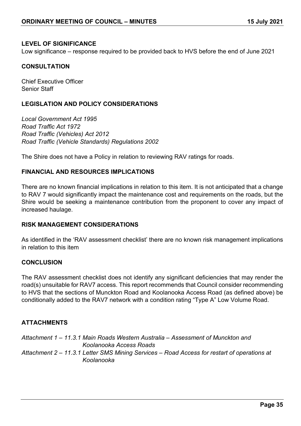### **LEVEL OF SIGNIFICANCE**

Low significance – response required to be provided back to HVS before the end of June 2021

## **CONSULTATION**

Chief Executive Officer Senior Staff

## **LEGISLATION AND POLICY CONSIDERATIONS**

*Local Government Act 1995 Road Traffic Act 1972 Road Traffic (Vehicles) Act 2012 Road Traffic (Vehicle Standards) Regulations 2002*

The Shire does not have a Policy in relation to reviewing RAV ratings for roads.

#### **FINANCIAL AND RESOURCES IMPLICATIONS**

There are no known financial implications in relation to this item. It is not anticipated that a change to RAV 7 would significantly impact the maintenance cost and requirements on the roads, but the Shire would be seeking a maintenance contribution from the proponent to cover any impact of increased haulage.

#### **RISK MANAGEMENT CONSIDERATIONS**

As identified in the 'RAV assessment checklist' there are no known risk management implications in relation to this item

#### **CONCLUSION**

The RAV assessment checklist does not identify any significant deficiencies that may render the road(s) unsuitable for RAV7 access. This report recommends that Council consider recommending to HVS that the sections of Munckton Road and Koolanooka Access Road (as defined above) be conditionally added to the RAV7 network with a condition rating "Type A" Low Volume Road.

## **ATTACHMENTS**

*Attachment 1 – 11.3.1 Main Roads Western Australia – Assessment of Munckton and Koolanooka Access Roads Attachment 2 – 11.3.1 Letter SMS Mining Services – Road Access for restart of operations at Koolanooka*